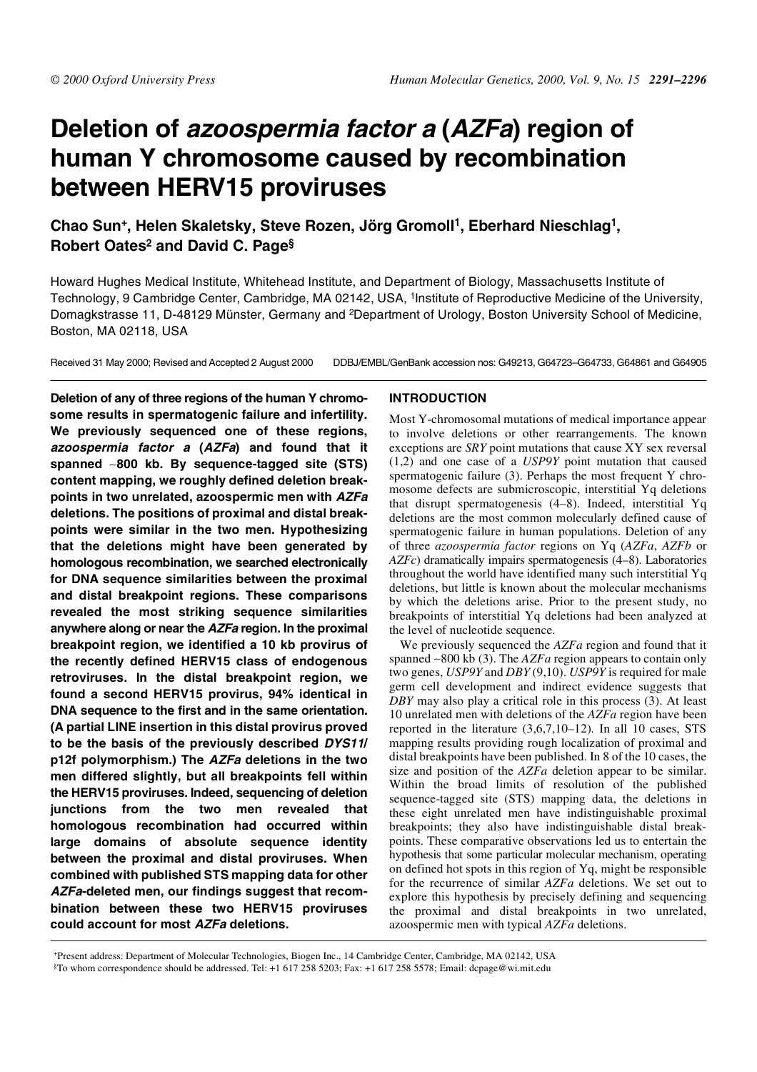# **Deletion of azoospermia factor <sup>a</sup> (AZFa) region of human Y chromosome caused by recombination between HERV15 proviruses**

# **Chao Sun+, Helen Skaletsky, Steve Rozen, Jörg Gromoll1, Eberhard Nieschlag1, Robert Oates2 and David C. Page§**

Howard Hughes Medical Institute, Whitehead Institute, and Department of Biology, Massachusetts Institute of Technology, 9 Cambridge Center, Cambridge, MA 02142, USA, 1Institute of Reproductive Medicine of the University, Domagkstrasse 11, D-48129 Münster, Germany and 2Department of Urology, Boston University School of Medicine, Boston, MA 02118, USA

Received 31 May 2000; Revised and Accepted 2 August 2000 DDBJ/EMBL/GenBank accession nos: G49213, G64723–G64733, G64861 and G64905

**Deletion of any of three regions of the human Y chromosome results in spermatogenic failure and infertility. We previously sequenced one of these regions, azoospermia factor <sup>a</sup> (AZFa) and found that it spanned** ∼**800 kb. By sequence-tagged site (STS) content mapping, we roughly defined deletion breakpoints in two unrelated, azoospermic men with AZFa deletions. The positions of proximal and distal breakpoints were similar in the two men. Hypothesizing that the deletions might have been generated by homologous recombination, we searched electronically for DNA sequence similarities between the proximal and distal breakpoint regions. These comparisons revealed the most striking sequence similarities anywhere along or near the AZFa region. In the proximal breakpoint region, we identified a 10 kb provirus of the recently defined HERV15 class of endogenous retroviruses. In the distal breakpoint region, we found a second HERV15 provirus, 94% identical in DNA sequence to the first and in the same orientation. (A partial LINE insertion in this distal provirus proved to be the basis of the previously described DYS11/ p12f polymorphism.) The AZFa deletions in the two men differed slightly, but all breakpoints fell within the HERV15 proviruses. Indeed, sequencing of deletion junctions from the two men revealed that homologous recombination had occurred within large domains of absolute sequence identity between the proximal and distal proviruses. When combined with published STS mapping data for other AZFa-deleted men, our findings suggest that recombination between these two HERV15 proviruses could account for most AZFa deletions.**

# **INTRODUCTION**

Most Y-chromosomal mutations of medical importance appear to involve deletions or other rearrangements. The known exceptions are *SRY* point mutations that cause XY sex reversal (1,2) and one case of a *USP9Y* point mutation that caused spermatogenic failure (3). Perhaps the most frequent Y chromosome defects are submicroscopic, interstitial Yq deletions that disrupt spermatogenesis (4–8). Indeed, interstitial Yq deletions are the most common molecularly defined cause of spermatogenic failure in human populations. Deletion of any of three *azoospermia factor* regions on Yq (*AZFa*, *AZFb* or *AZFc*) dramatically impairs spermatogenesis (4–8). Laboratories throughout the world have identified many such interstitial Yq deletions, but little is known about the molecular mechanisms by which the deletions arise. Prior to the present study, no breakpoints of interstitial Yq deletions had been analyzed at the level of nucleotide sequence.

We previously sequenced the *AZFa* region and found that it spanned ∼800 kb (3). The *AZFa* region appears to contain only two genes, *USP9Y* and *DBY* (9,10). *USP9Y* is required for male germ cell development and indirect evidence suggests that *DBY* may also play a critical role in this process (3). At least 10 unrelated men with deletions of the *AZFa* region have been reported in the literature (3,6,7,10–12). In all 10 cases, STS mapping results providing rough localization of proximal and distal breakpoints have been published. In 8 of the 10 cases, the size and position of the *AZFa* deletion appear to be similar. Within the broad limits of resolution of the published sequence-tagged site (STS) mapping data, the deletions in these eight unrelated men have indistinguishable proximal breakpoints; they also have indistinguishable distal breakpoints. These comparative observations led us to entertain the hypothesis that some particular molecular mechanism, operating on defined hot spots in this region of Yq, might be responsible for the recurrence of similar *AZFa* deletions. We set out to explore this hypothesis by precisely defining and sequencing the proximal and distal breakpoints in two unrelated, azoospermic men with typical *AZFa* deletions.

+Present address: Department of Molecular Technologies, Biogen Inc., 14 Cambridge Center, Cambridge, MA 02142, USA §To whom correspondence should be addressed. Tel: +1 617 258 5203; Fax: +1 617 258 5578; Email: dcpage@wi.mit.edu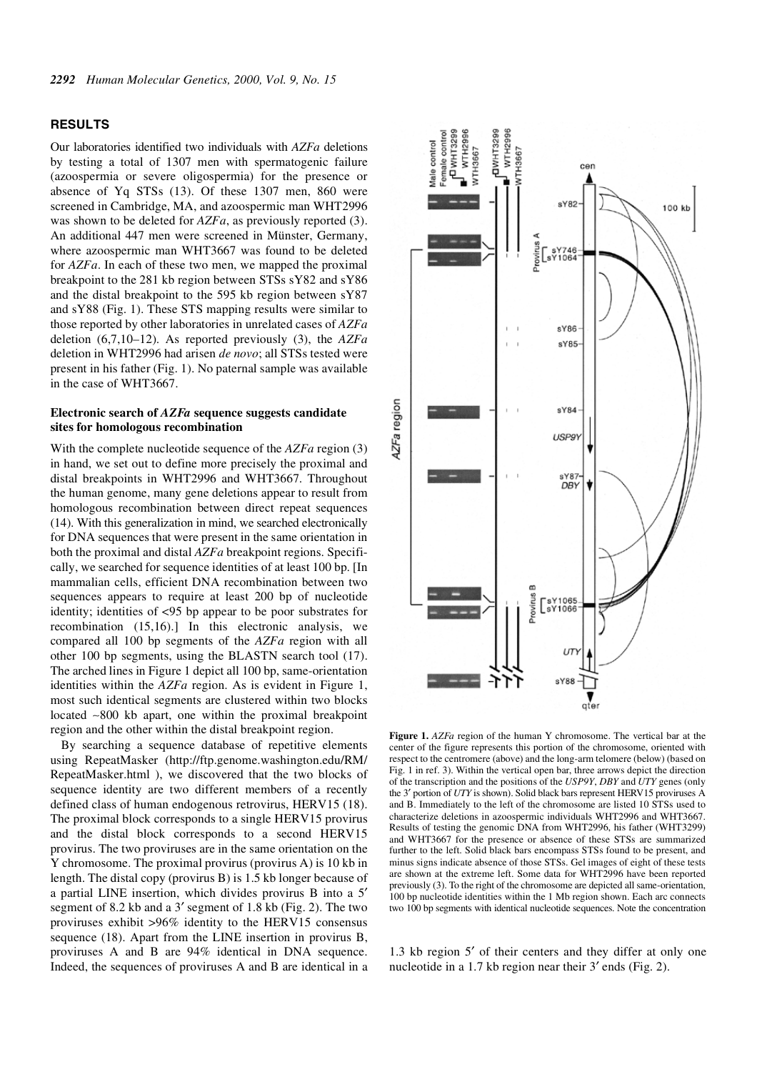#### **RESULTS**

Our laboratories identified two individuals with *AZFa* deletions by testing a total of 1307 men with spermatogenic failure (azoospermia or severe oligospermia) for the presence or absence of Yq STSs (13). Of these 1307 men, 860 were screened in Cambridge, MA, and azoospermic man WHT2996 was shown to be deleted for *AZFa*, as previously reported (3). An additional 447 men were screened in Münster, Germany, where azoospermic man WHT3667 was found to be deleted for *AZFa*. In each of these two men, we mapped the proximal breakpoint to the 281 kb region between STSs sY82 and sY86 and the distal breakpoint to the 595 kb region between sY87 and sY88 (Fig. 1). These STS mapping results were similar to those reported by other laboratories in unrelated cases of *AZFa* deletion (6,7,10–12). As reported previously (3), the *AZFa* deletion in WHT2996 had arisen *de novo*; all STSs tested were present in his father (Fig. 1). No paternal sample was available in the case of WHT3667.

# **Electronic search of** *AZFa* **sequence suggests candidate sites for homologous recombination**

With the complete nucleotide sequence of the *AZFa* region (3) in hand, we set out to define more precisely the proximal and distal breakpoints in WHT2996 and WHT3667. Throughout the human genome, many gene deletions appear to result from homologous recombination between direct repeat sequences (14). With this generalization in mind, we searched electronically for DNA sequences that were present in the same orientation in both the proximal and distal *AZFa* breakpoint regions. Specifically, we searched for sequence identities of at least 100 bp. [In mammalian cells, efficient DNA recombination between two sequences appears to require at least 200 bp of nucleotide identity; identities of <95 bp appear to be poor substrates for recombination (15,16).] In this electronic analysis, we compared all 100 bp segments of the *AZFa* region with all other 100 bp segments, using the BLASTN search tool (17). The arched lines in Figure 1 depict all 100 bp, same-orientation identities within the *AZFa* region. As is evident in Figure 1, most such identical segments are clustered within two blocks located ∼800 kb apart, one within the proximal breakpoint region and the other within the distal breakpoint region.

By searching a sequence database of repetitive elements using RepeatMasker (http://ftp.genome.washington.edu/RM/ RepeatMasker.html ), we discovered that the two blocks of sequence identity are two different members of a recently defined class of human endogenous retrovirus, HERV15 (18). The proximal block corresponds to a single HERV15 provirus and the distal block corresponds to a second HERV15 provirus. The two proviruses are in the same orientation on the Y chromosome. The proximal provirus (provirus A) is 10 kb in length. The distal copy (provirus B) is 1.5 kb longer because of a partial LINE insertion, which divides provirus B into a 5′ segment of 8.2 kb and a 3′ segment of 1.8 kb (Fig. 2). The two proviruses exhibit >96% identity to the HERV15 consensus sequence (18). Apart from the LINE insertion in provirus B, proviruses A and B are 94% identical in DNA sequence. Indeed, the sequences of proviruses A and B are identical in a



**Figure 1.** *AZFa* region of the human Y chromosome. The vertical bar at the center of the figure represents this portion of the chromosome, oriented with respect to the centromere (above) and the long-arm telomere (below) (based on Fig. 1 in ref. 3). Within the vertical open bar, three arrows depict the direction of the transcription and the positions of the *USP9Y*, *DBY* and *UTY* genes (only the 3′ portion of *UTY* is shown). Solid black bars represent HERV15 proviruses A and B. Immediately to the left of the chromosome are listed 10 STSs used to characterize deletions in azoospermic individuals WHT2996 and WHT3667. Results of testing the genomic DNA from WHT2996, his father (WHT3299) and WHT3667 for the presence or absence of these STSs are summarized further to the left. Solid black bars encompass STSs found to be present, and minus signs indicate absence of those STSs. Gel images of eight of these tests are shown at the extreme left. Some data for WHT2996 have been reported previously (3). To the right of the chromosome are depicted all same-orientation, 100 bp nucleotide identities within the 1 Mb region shown. Each arc connects two 100 bp segments with identical nucleotide sequences. Note the concentration

1.3 kb region 5′ of their centers and they differ at only one nucleotide in a 1.7 kb region near their 3′ ends (Fig. 2).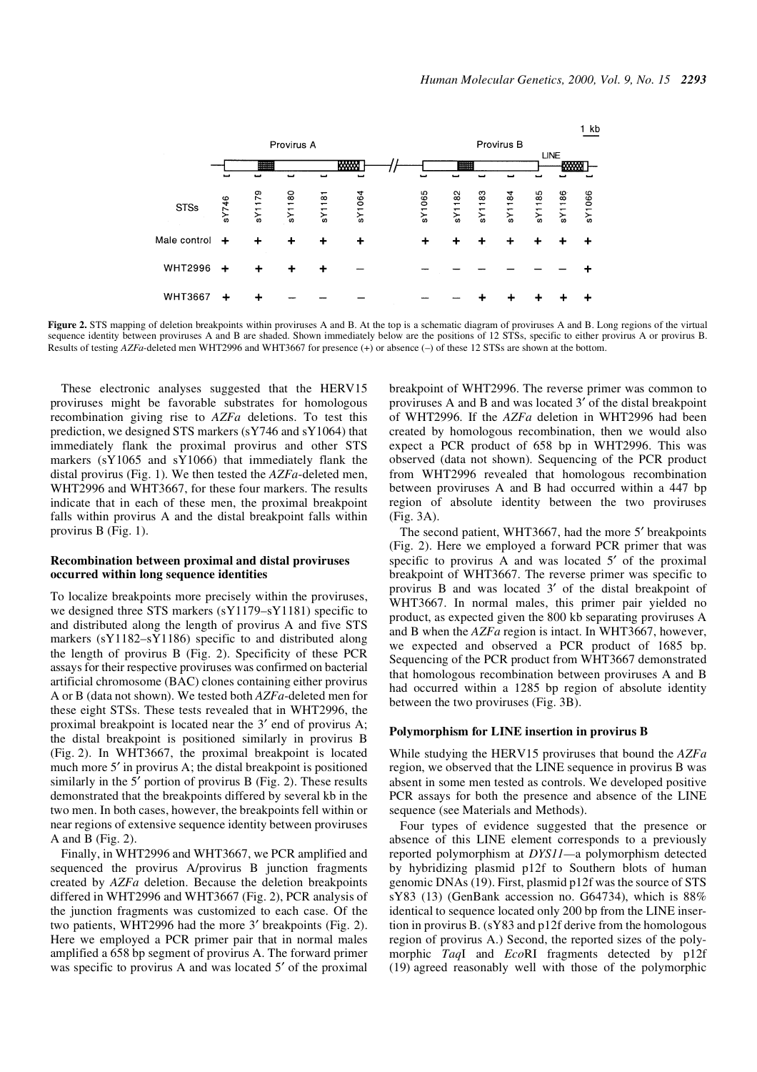

Figure 2. STS mapping of deletion breakpoints within proviruses A and B. At the top is a schematic diagram of proviruses A and B. Long regions of the virtual sequence identity between proviruses A and B are shaded. Shown immediately below are the positions of 12 STSs, specific to either provirus A or provirus B. Results of testing *AZFa*-deleted men WHT2996 and WHT3667 for presence (+) or absence (–) of these 12 STSs are shown at the bottom.

These electronic analyses suggested that the HERV15 proviruses might be favorable substrates for homologous recombination giving rise to *AZFa* deletions. To test this prediction, we designed STS markers (sY746 and sY1064) that immediately flank the proximal provirus and other STS markers (sY1065 and sY1066) that immediately flank the distal provirus (Fig. 1). We then tested the *AZFa*-deleted men, WHT2996 and WHT3667, for these four markers. The results indicate that in each of these men, the proximal breakpoint falls within provirus A and the distal breakpoint falls within provirus B (Fig. 1).

#### **Recombination between proximal and distal proviruses occurred within long sequence identities**

To localize breakpoints more precisely within the proviruses, we designed three STS markers (sY1179–sY1181) specific to and distributed along the length of provirus A and five STS markers (sY1182–sY1186) specific to and distributed along the length of provirus B (Fig. 2). Specificity of these PCR assays for their respective proviruses was confirmed on bacterial artificial chromosome (BAC) clones containing either provirus A or B (data not shown). We tested both *AZFa*-deleted men for these eight STSs. These tests revealed that in WHT2996, the proximal breakpoint is located near the 3′ end of provirus A; the distal breakpoint is positioned similarly in provirus B (Fig. 2). In WHT3667, the proximal breakpoint is located much more 5′ in provirus A; the distal breakpoint is positioned similarly in the 5′ portion of provirus B (Fig. 2). These results demonstrated that the breakpoints differed by several kb in the two men. In both cases, however, the breakpoints fell within or near regions of extensive sequence identity between proviruses A and B (Fig. 2).

Finally, in WHT2996 and WHT3667, we PCR amplified and sequenced the provirus A/provirus B junction fragments created by *AZFa* deletion. Because the deletion breakpoints differed in WHT2996 and WHT3667 (Fig. 2), PCR analysis of the junction fragments was customized to each case. Of the two patients, WHT2996 had the more 3′ breakpoints (Fig. 2). Here we employed a PCR primer pair that in normal males amplified a 658 bp segment of provirus A. The forward primer was specific to provirus A and was located 5' of the proximal breakpoint of WHT2996. The reverse primer was common to proviruses A and B and was located 3′ of the distal breakpoint of WHT2996. If the *AZFa* deletion in WHT2996 had been created by homologous recombination, then we would also expect a PCR product of 658 bp in WHT2996. This was observed (data not shown). Sequencing of the PCR product from WHT2996 revealed that homologous recombination between proviruses A and B had occurred within a 447 bp region of absolute identity between the two proviruses (Fig. 3A).

The second patient, WHT3667, had the more 5' breakpoints (Fig. 2). Here we employed a forward PCR primer that was specific to provirus A and was located 5' of the proximal breakpoint of WHT3667. The reverse primer was specific to provirus B and was located 3′ of the distal breakpoint of WHT3667. In normal males, this primer pair yielded no product, as expected given the 800 kb separating proviruses A and B when the *AZFa* region is intact. In WHT3667, however, we expected and observed a PCR product of 1685 bp. Sequencing of the PCR product from WHT3667 demonstrated that homologous recombination between proviruses A and B had occurred within a 1285 bp region of absolute identity between the two proviruses (Fig. 3B).

### **Polymorphism for LINE insertion in provirus B**

While studying the HERV15 proviruses that bound the *AZFa* region, we observed that the LINE sequence in provirus B was absent in some men tested as controls. We developed positive PCR assays for both the presence and absence of the LINE sequence (see Materials and Methods).

Four types of evidence suggested that the presence or absence of this LINE element corresponds to a previously reported polymorphism at *DYS11—*a polymorphism detected by hybridizing plasmid p12f to Southern blots of human genomic DNAs (19). First, plasmid p12f was the source of STS sY83 (13) (GenBank accession no. G64734), which is 88% identical to sequence located only 200 bp from the LINE insertion in provirus B. (sY83 and p12f derive from the homologous region of provirus A.) Second, the reported sizes of the polymorphic *Taq*I and *Eco*RI fragments detected by p12f (19) agreed reasonably well with those of the polymorphic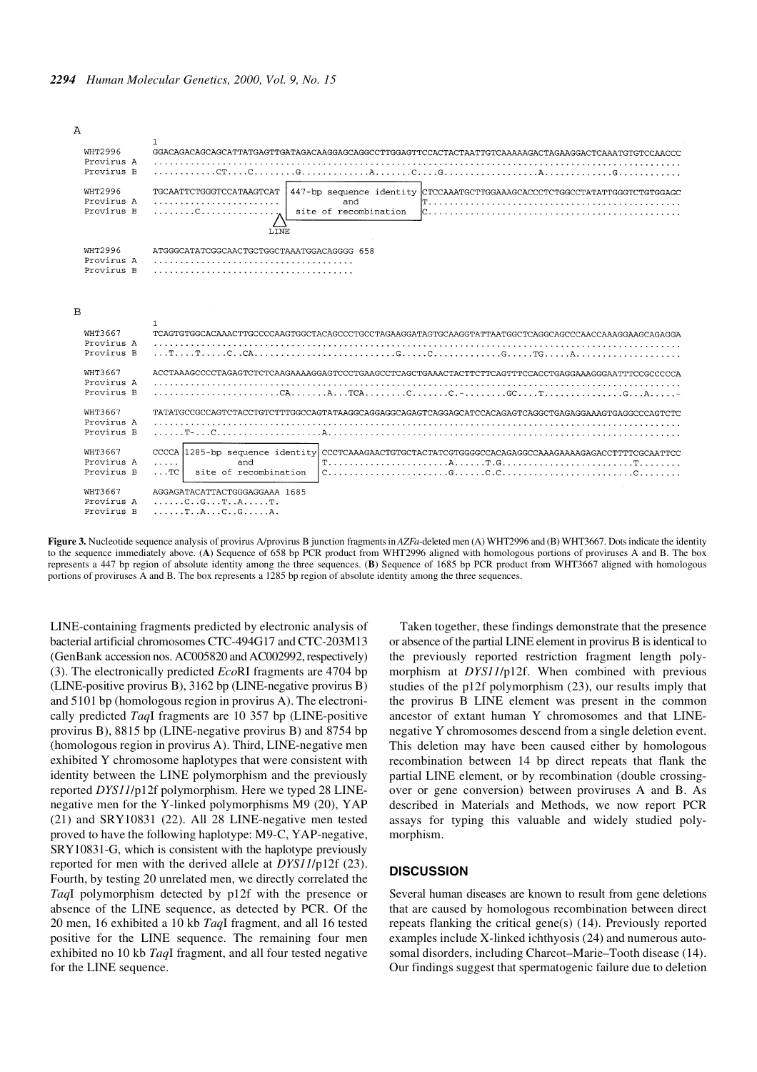$\Delta$ 



**Figure 3.** Nucleotide sequence analysis of provirus A/provirus B junction fragments in *AZFa*-deleted men (A) WHT2996 and (B) WHT3667. Dots indicate the identity to the sequence immediately above. (**A**) Sequence of 658 bp PCR product from WHT2996 aligned with homologous portions of proviruses A and B. The box represents a 447 bp region of absolute identity among the three sequences. (**B**) Sequence of 1685 bp PCR product from WHT3667 aligned with homologous portions of proviruses A and B. The box represents a 1285 bp region of absolute identity among the three sequences.

LINE-containing fragments predicted by electronic analysis of bacterial artificial chromosomes CTC-494G17 and CTC-203M13 (GenBank accession nos. AC005820 and AC002992, respectively) (3). The electronically predicted *Eco*RI fragments are 4704 bp (LINE-positive provirus B), 3162 bp (LINE-negative provirus B) and 5101 bp (homologous region in provirus A). The electronically predicted *Taq*I fragments are 10 357 bp (LINE-positive provirus B), 8815 bp (LINE-negative provirus B) and 8754 bp (homologous region in provirus A). Third, LINE-negative men exhibited Y chromosome haplotypes that were consistent with identity between the LINE polymorphism and the previously reported *DYS11*/p12f polymorphism. Here we typed 28 LINEnegative men for the Y-linked polymorphisms M9 (20), YAP (21) and SRY10831 (22). All 28 LINE-negative men tested proved to have the following haplotype: M9-C, YAP-negative, SRY10831-G, which is consistent with the haplotype previously reported for men with the derived allele at *DYS11*/p12f (23). Fourth, by testing 20 unrelated men, we directly correlated the *Taq*I polymorphism detected by p12f with the presence or absence of the LINE sequence, as detected by PCR. Of the 20 men, 16 exhibited a 10 kb *Taq*I fragment, and all 16 tested positive for the LINE sequence. The remaining four men exhibited no 10 kb *Taq*I fragment, and all four tested negative for the LINE sequence.

Taken together, these findings demonstrate that the presence or absence of the partial LINE element in provirus B is identical to the previously reported restriction fragment length polymorphism at *DYS11*/p12f. When combined with previous studies of the p12f polymorphism (23), our results imply that the provirus B LINE element was present in the common ancestor of extant human Y chromosomes and that LINEnegative Y chromosomes descend from a single deletion event. This deletion may have been caused either by homologous recombination between 14 bp direct repeats that flank the partial LINE element, or by recombination (double crossingover or gene conversion) between proviruses A and B. As described in Materials and Methods, we now report PCR assays for typing this valuable and widely studied polymorphism.

# **DISCUSSION**

Several human diseases are known to result from gene deletions that are caused by homologous recombination between direct repeats flanking the critical gene(s) (14). Previously reported examples include X-linked ichthyosis (24) and numerous autosomal disorders, including Charcot–Marie–Tooth disease (14). Our findings suggest that spermatogenic failure due to deletion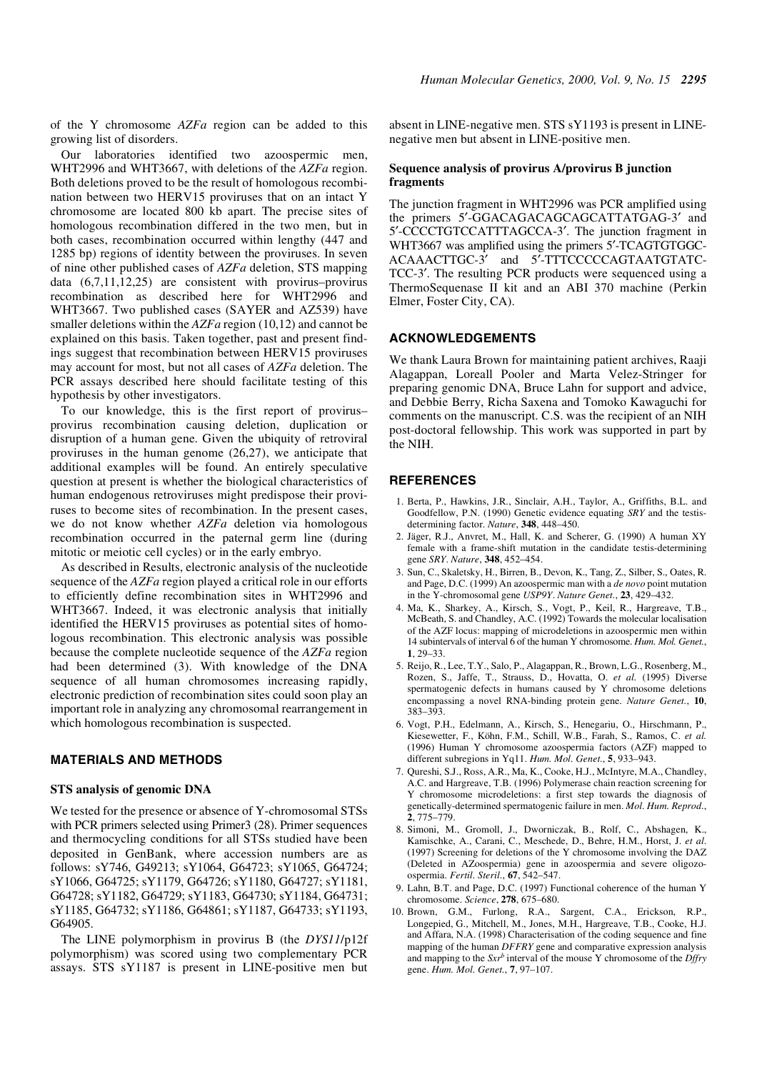of the Y chromosome *AZFa* region can be added to this growing list of disorders.

Our laboratories identified two azoospermic men, WHT2996 and WHT3667, with deletions of the *AZFa* region. Both deletions proved to be the result of homologous recombination between two HERV15 proviruses that on an intact Y chromosome are located 800 kb apart. The precise sites of homologous recombination differed in the two men, but in both cases, recombination occurred within lengthy (447 and 1285 bp) regions of identity between the proviruses. In seven of nine other published cases of *AZFa* deletion, STS mapping data (6,7,11,12,25) are consistent with provirus–provirus recombination as described here for WHT2996 and WHT3667. Two published cases (SAYER and AZ539) have smaller deletions within the *AZFa* region (10,12) and cannot be explained on this basis. Taken together, past and present findings suggest that recombination between HERV15 proviruses may account for most, but not all cases of *AZFa* deletion. The PCR assays described here should facilitate testing of this hypothesis by other investigators.

To our knowledge, this is the first report of provirus– provirus recombination causing deletion, duplication or disruption of a human gene. Given the ubiquity of retroviral proviruses in the human genome (26,27), we anticipate that additional examples will be found. An entirely speculative question at present is whether the biological characteristics of human endogenous retroviruses might predispose their proviruses to become sites of recombination. In the present cases, we do not know whether *AZFa* deletion via homologous recombination occurred in the paternal germ line (during mitotic or meiotic cell cycles) or in the early embryo.

As described in Results, electronic analysis of the nucleotide sequence of the *AZFa* region played a critical role in our efforts to efficiently define recombination sites in WHT2996 and WHT3667. Indeed, it was electronic analysis that initially identified the HERV15 proviruses as potential sites of homologous recombination. This electronic analysis was possible because the complete nucleotide sequence of the *AZFa* region had been determined (3). With knowledge of the DNA sequence of all human chromosomes increasing rapidly, electronic prediction of recombination sites could soon play an important role in analyzing any chromosomal rearrangement in which homologous recombination is suspected.

# **MATERIALS AND METHODS**

#### **STS analysis of genomic DNA**

We tested for the presence or absence of Y-chromosomal STSs with PCR primers selected using Primer3 (28). Primer sequences and thermocycling conditions for all STSs studied have been deposited in GenBank, where accession numbers are as follows: sY746, G49213; sY1064, G64723; sY1065, G64724; sY1066, G64725; sY1179, G64726; sY1180, G64727; sY1181, G64728; sY1182, G64729; sY1183, G64730; sY1184, G64731; sY1185, G64732; sY1186, G64861; sY1187, G64733; sY1193, G64905.

The LINE polymorphism in provirus B (the *DYS11*/p12f polymorphism) was scored using two complementary PCR assays. STS sY1187 is present in LINE-positive men but absent in LINE-negative men. STS sY1193 is present in LINEnegative men but absent in LINE-positive men.

# **Sequence analysis of provirus A/provirus B junction fragments**

The junction fragment in WHT2996 was PCR amplified using the primers 5′-GGACAGACAGCAGCATTATGAG-3′ and 5′-CCCCTGTCCATTTAGCCA-3′. The junction fragment in WHT3667 was amplified using the primers 5'-TCAGTGTGGC-ACAAACTTGC-3′ and 5′-TTTCCCCCAGTAATGTATC-TCC-3′. The resulting PCR products were sequenced using a ThermoSequenase II kit and an ABI 370 machine (Perkin Elmer, Foster City, CA).

#### **ACKNOWLEDGEMENTS**

We thank Laura Brown for maintaining patient archives, Raaji Alagappan, Loreall Pooler and Marta Velez-Stringer for preparing genomic DNA, Bruce Lahn for support and advice, and Debbie Berry, Richa Saxena and Tomoko Kawaguchi for comments on the manuscript. C.S. was the recipient of an NIH post-doctoral fellowship. This work was supported in part by the NIH.

## **REFERENCES**

- 1. Berta, P., Hawkins, J.R., Sinclair, A.H., Taylor, A., Griffiths, B.L. and Goodfellow, P.N. (1990) Genetic evidence equating *SRY* and the testisdetermining factor. *Nature*, **348**, 448–450.
- 2. Jäger, R.J., Anvret, M., Hall, K. and Scherer, G. (1990) A human XY female with a frame-shift mutation in the candidate testis-determining gene *SRY*. *Nature*, **348**, 452–454.
- 3. Sun, C., Skaletsky, H., Birren, B., Devon, K., Tang, Z., Silber, S., Oates, R. and Page, D.C. (1999) An azoospermic man with a *de novo* point mutation in the Y-chromosomal gene *USP9Y*. *Nature Genet.*, **23**, 429–432.
- 4. Ma, K., Sharkey, A., Kirsch, S., Vogt, P., Keil, R., Hargreave, T.B., McBeath, S. and Chandley, A.C. (1992) Towards the molecular localisation of the AZF locus: mapping of microdeletions in azoospermic men within 14 subintervals of interval 6 of the human Y chromosome. *Hum. Mol. Genet.*, **1**, 29–33.
- 5. Reijo, R., Lee, T.Y., Salo, P., Alagappan, R., Brown, L.G., Rosenberg, M., Rozen, S., Jaffe, T., Strauss, D., Hovatta, O. *et al.* (1995) Diverse spermatogenic defects in humans caused by Y chromosome deletions encompassing a novel RNA-binding protein gene. *Nature Genet.*, **10**, 383–393.
- 6. Vogt, P.H., Edelmann, A., Kirsch, S., Henegariu, O., Hirschmann, P., Kiesewetter, F., Köhn, F.M., Schill, W.B., Farah, S., Ramos, C. *et al.* (1996) Human Y chromosome azoospermia factors (AZF) mapped to different subregions in Yq11. *Hum. Mol. Genet.*, **5**, 933–943.
- 7. Qureshi, S.J., Ross, A.R., Ma, K., Cooke, H.J., McIntyre, M.A., Chandley, A.C. and Hargreave, T.B. (1996) Polymerase chain reaction screening for Y chromosome microdeletions: a first step towards the diagnosis of genetically-determined spermatogenic failure in men. *Mol. Hum. Reprod.*, **2**, 775–779.
- 8. Simoni, M., Gromoll, J., Dworniczak, B., Rolf, C., Abshagen, K., Kamischke, A., Carani, C., Meschede, D., Behre, H.M., Horst, J. *et al*. (1997) Screening for deletions of the Y chromosome involving the DAZ (Deleted in AZoospermia) gene in azoospermia and severe oligozoospermia. *Fertil. Steril.*, **67**, 542–547.
- 9. Lahn, B.T. and Page, D.C. (1997) Functional coherence of the human Y chromosome. *Science*, **278**, 675–680.
- 10. Brown, G.M., Furlong, R.A., Sargent, C.A., Erickson, R.P., Longepied, G., Mitchell, M., Jones, M.H., Hargreave, T.B., Cooke, H.J. and Affara, N.A. (1998) Characterisation of the coding sequence and fine mapping of the human *DFFRY* gene and comparative expression analysis and mapping to the *Sxrb* interval of the mouse Y chromosome of the *Dffry* gene. *Hum. Mol. Genet.*, **7**, 97–107.